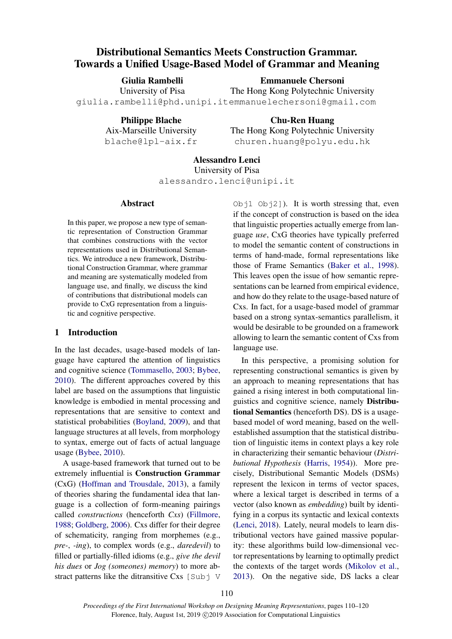# Distributional Semantics Meets Construction Grammar. Towards a Unified Usage-Based Model of Grammar and Meaning

Giulia Rambelli University of Pisa giulia.rambelli@phd.unipi.it emmanuelechersoni@gmail.com Emmanuele Chersoni The Hong Kong Polytechnic University

Philippe Blache Aix-Marseille University

blache@lpl-aix.fr

Chu-Ren Huang The Hong Kong Polytechnic University churen.huang@polyu.edu.hk

# Alessandro Lenci

University of Pisa alessandro.lenci@unipi.it

### Abstract

In this paper, we propose a new type of semantic representation of Construction Grammar that combines constructions with the vector representations used in Distributional Semantics. We introduce a new framework, Distributional Construction Grammar, where grammar and meaning are systematically modeled from language use, and finally, we discuss the kind of contributions that distributional models can provide to CxG representation from a linguistic and cognitive perspective.

## 1 Introduction

In the last decades, usage-based models of language have captured the attention of linguistics and cognitive science [\(Tommasello,](#page-10-0) [2003;](#page-10-0) [Bybee,](#page-8-0) [2010\)](#page-8-0). The different approaches covered by this label are based on the assumptions that linguistic knowledge is embodied in mental processing and representations that are sensitive to context and statistical probabilities [\(Boyland,](#page-8-1) [2009\)](#page-8-1), and that language structures at all levels, from morphology to syntax, emerge out of facts of actual language usage [\(Bybee,](#page-8-0) [2010\)](#page-8-0).

A usage-based framework that turned out to be extremely influential is Construction Grammar (CxG) [\(Hoffman and Trousdale,](#page-9-0) [2013\)](#page-9-0), a family of theories sharing the fundamental idea that language is a collection of form-meaning pairings called *constructions* (henceforth *Cxs*) [\(Fillmore,](#page-8-2) [1988;](#page-8-2) [Goldberg,](#page-9-1) [2006\)](#page-9-1). Cxs differ for their degree of schematicity, ranging from morphemes (e.g., *pre-*, *-ing*), to complex words (e.g., *daredevil*) to filled or partially-filled idioms (e.g., *give the devil his dues* or *Jog (someones) memory*) to more abstract patterns like the ditransitive Cxs [Subj V] Obj1  $Obj2]$ ). It is worth stressing that, even if the concept of construction is based on the idea that linguistic properties actually emerge from language *use*, CxG theories have typically preferred to model the semantic content of constructions in terms of hand-made, formal representations like those of Frame Semantics [\(Baker et al.,](#page-8-3) [1998\)](#page-8-3). This leaves open the issue of how semantic representations can be learned from empirical evidence, and how do they relate to the usage-based nature of Cxs. In fact, for a usage-based model of grammar based on a strong syntax-semantics parallelism, it would be desirable to be grounded on a framework allowing to learn the semantic content of Cxs from language use.

In this perspective, a promising solution for representing constructional semantics is given by an approach to meaning representations that has gained a rising interest in both computational linguistics and cognitive science, namely Distributional Semantics (henceforth DS). DS is a usagebased model of word meaning, based on the wellestablished assumption that the statistical distribution of linguistic items in context plays a key role in characterizing their semantic behaviour (*Distributional Hypothesis* [\(Harris,](#page-9-2) [1954\)](#page-9-2)). More precisely, Distributional Semantic Models (DSMs) represent the lexicon in terms of vector spaces, where a lexical target is described in terms of a vector (also known as *embedding*) built by identifying in a corpus its syntactic and lexical contexts [\(Lenci,](#page-9-3) [2018\)](#page-9-3). Lately, neural models to learn distributional vectors have gained massive popularity: these algorithms build low-dimensional vector representations by learning to optimally predict the contexts of the target words [\(Mikolov et al.,](#page-9-4) [2013\)](#page-9-4). On the negative side, DS lacks a clear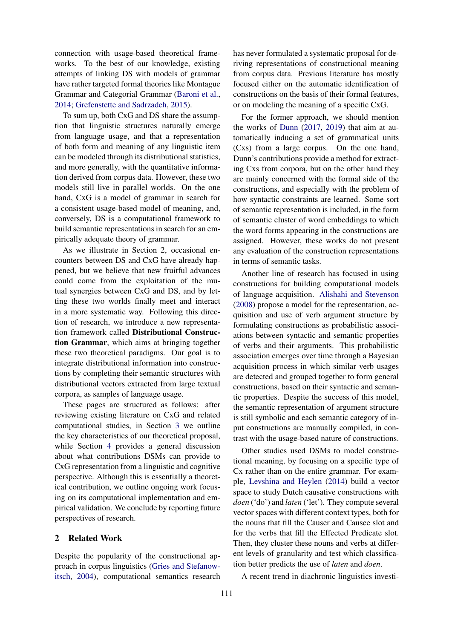connection with usage-based theoretical frameworks. To the best of our knowledge, existing attempts of linking DS with models of grammar have rather targeted formal theories like Montague Grammar and Categorial Grammar [\(Baroni et al.,](#page-8-4) [2014;](#page-8-4) [Grefenstette and Sadrzadeh,](#page-9-5) [2015\)](#page-9-5).

To sum up, both CxG and DS share the assumption that linguistic structures naturally emerge from language usage, and that a representation of both form and meaning of any linguistic item can be modeled through its distributional statistics, and more generally, with the quantitative information derived from corpus data. However, these two models still live in parallel worlds. On the one hand, CxG is a model of grammar in search for a consistent usage-based model of meaning, and, conversely, DS is a computational framework to build semantic representations in search for an empirically adequate theory of grammar.

As we illustrate in Section 2, occasional encounters between DS and CxG have already happened, but we believe that new fruitful advances could come from the exploitation of the mutual synergies between CxG and DS, and by letting these two worlds finally meet and interact in a more systematic way. Following this direction of research, we introduce a new representation framework called Distributional Construction Grammar, which aims at bringing together these two theoretical paradigms. Our goal is to integrate distributional information into constructions by completing their semantic structures with distributional vectors extracted from large textual corpora, as samples of language usage.

These pages are structured as follows: after reviewing existing literature on CxG and related computational studies, in Section [3](#page-2-0) we outline the key characteristics of our theoretical proposal, while Section [4](#page-6-0) provides a general discussion about what contributions DSMs can provide to CxG representation from a linguistic and cognitive perspective. Although this is essentially a theoretical contribution, we outline ongoing work focusing on its computational implementation and empirical validation. We conclude by reporting future perspectives of research.

#### 2 Related Work

Despite the popularity of the constructional approach in corpus linguistics [\(Gries and Stefanow](#page-9-6)[itsch,](#page-9-6) [2004\)](#page-9-6), computational semantics research has never formulated a systematic proposal for deriving representations of constructional meaning from corpus data. Previous literature has mostly focused either on the automatic identification of constructions on the basis of their formal features, or on modeling the meaning of a specific CxG.

For the former approach, we should mention the works of [Dunn](#page-8-5) [\(2017,](#page-8-5) [2019\)](#page-8-6) that aim at automatically inducing a set of grammatical units (Cxs) from a large corpus. On the one hand, Dunn's contributions provide a method for extracting Cxs from corpora, but on the other hand they are mainly concerned with the formal side of the constructions, and especially with the problem of how syntactic constraints are learned. Some sort of semantic representation is included, in the form of semantic cluster of word embeddings to which the word forms appearing in the constructions are assigned. However, these works do not present any evaluation of the construction representations in terms of semantic tasks.

Another line of research has focused in using constructions for building computational models of language acquisition. [Alishahi and Stevenson](#page-8-7) [\(2008\)](#page-8-7) propose a model for the representation, acquisition and use of verb argument structure by formulating constructions as probabilistic associations between syntactic and semantic properties of verbs and their arguments. This probabilistic association emerges over time through a Bayesian acquisition process in which similar verb usages are detected and grouped together to form general constructions, based on their syntactic and semantic properties. Despite the success of this model, the semantic representation of argument structure is still symbolic and each semantic category of input constructions are manually compiled, in contrast with the usage-based nature of constructions.

Other studies used DSMs to model constructional meaning, by focusing on a specific type of Cx rather than on the entire grammar. For example, [Levshina and Heylen](#page-9-7) [\(2014\)](#page-9-7) build a vector space to study Dutch causative constructions with *doen* ('do') and *laten* ('let'). They compute several vector spaces with different context types, both for the nouns that fill the Causer and Causee slot and for the verbs that fill the Effected Predicate slot. Then, they cluster these nouns and verbs at different levels of granularity and test which classification better predicts the use of *laten* and *doen*.

A recent trend in diachronic linguistics investi-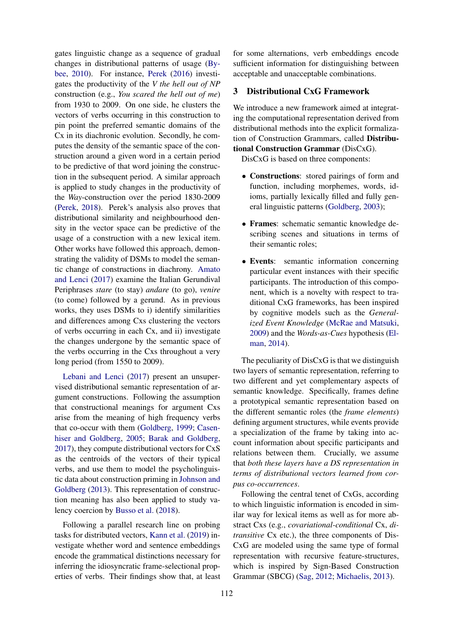gates linguistic change as a sequence of gradual changes in distributional patterns of usage [\(By](#page-8-0)[bee,](#page-8-0) [2010\)](#page-8-0). For instance, [Perek](#page-9-8) [\(2016\)](#page-9-8) investigates the productivity of the *V the hell out of NP* construction (e.g., *You scared the hell out of me*) from 1930 to 2009. On one side, he clusters the vectors of verbs occurring in this construction to pin point the preferred semantic domains of the Cx in its diachronic evolution. Secondly, he computes the density of the semantic space of the construction around a given word in a certain period to be predictive of that word joining the construction in the subsequent period. A similar approach is applied to study changes in the productivity of the *Way*-construction over the period 1830-2009 [\(Perek,](#page-9-9) [2018\)](#page-9-9). Perek's analysis also proves that distributional similarity and neighbourhood density in the vector space can be predictive of the usage of a construction with a new lexical item. Other works have followed this approach, demonstrating the validity of DSMs to model the semantic change of constructions in diachrony. [Amato](#page-8-8) [and Lenci](#page-8-8) [\(2017\)](#page-8-8) examine the Italian Gerundival Periphrases *stare* (to stay) *andare* (to go), *venire* (to come) followed by a gerund. As in previous works, they uses DSMs to i) identify similarities and differences among Cxs clustering the vectors of verbs occurring in each Cx, and ii) investigate the changes undergone by the semantic space of the verbs occurring in the Cxs throughout a very long period (from 1550 to 2009).

[Lebani and Lenci](#page-9-10) [\(2017\)](#page-9-10) present an unsupervised distributional semantic representation of argument constructions. Following the assumption that constructional meanings for argument Cxs arise from the meaning of high frequency verbs that co-occur with them [\(Goldberg,](#page-8-9) [1999;](#page-8-9) [Casen](#page-8-10)[hiser and Goldberg,](#page-8-10) [2005;](#page-8-10) [Barak and Goldberg,](#page-8-11) [2017\)](#page-8-11), they compute distributional vectors for CxS as the centroids of the vectors of their typical verbs, and use them to model the psycholinguistic data about construction priming in [Johnson and](#page-9-11) [Goldberg](#page-9-11) [\(2013\)](#page-9-11). This representation of construction meaning has also been applied to study valency coercion by [Busso et al.](#page-8-12) [\(2018\)](#page-8-12).

Following a parallel research line on probing tasks for distributed vectors, [Kann et al.](#page-9-12) [\(2019\)](#page-9-12) investigate whether word and sentence embeddings encode the grammatical distinctions necessary for inferring the idiosyncratic frame-selectional properties of verbs. Their findings show that, at least for some alternations, verb embeddings encode sufficient information for distinguishing between acceptable and unacceptable combinations.

### <span id="page-2-0"></span>3 Distributional CxG Framework

We introduce a new framework aimed at integrating the computational representation derived from distributional methods into the explicit formalization of Construction Grammars, called Distributional Construction Grammar (DisCxG).

DisCxG is based on three components:

- Constructions: stored pairings of form and function, including morphemes, words, idioms, partially lexically filled and fully general linguistic patterns [\(Goldberg,](#page-8-13) [2003\)](#page-8-13);
- Frames: schematic semantic knowledge describing scenes and situations in terms of their semantic roles;
- Events: semantic information concerning particular event instances with their specific participants. The introduction of this component, which is a novelty with respect to traditional CxG frameworks, has been inspired by cognitive models such as the *Generalized Event Knowledge* [\(McRae and Matsuki,](#page-9-13) [2009\)](#page-9-13) and the *Words-as-Cues* hypothesis [\(El](#page-8-14)[man,](#page-8-14) [2014\)](#page-8-14).

The peculiarity of DisCxG is that we distinguish two layers of semantic representation, referring to two different and yet complementary aspects of semantic knowledge. Specifically, frames define a prototypical semantic representation based on the different semantic roles (the *frame elements*) defining argument structures, while events provide a specialization of the frame by taking into account information about specific participants and relations between them. Crucially, we assume that *both these layers have a DS representation in terms of distributional vectors learned from corpus co-occurrences*.

Following the central tenet of CxGs, according to which linguistic information is encoded in similar way for lexical items as well as for more abstract Cxs (e.g., *covariational-conditional* Cx, *ditransitive* Cx etc.), the three components of Dis-CxG are modeled using the same type of formal representation with recursive feature-structures, which is inspired by Sign-Based Construction Grammar (SBCG) [\(Sag,](#page-10-1) [2012;](#page-10-1) [Michaelis,](#page-9-14) [2013\)](#page-9-14).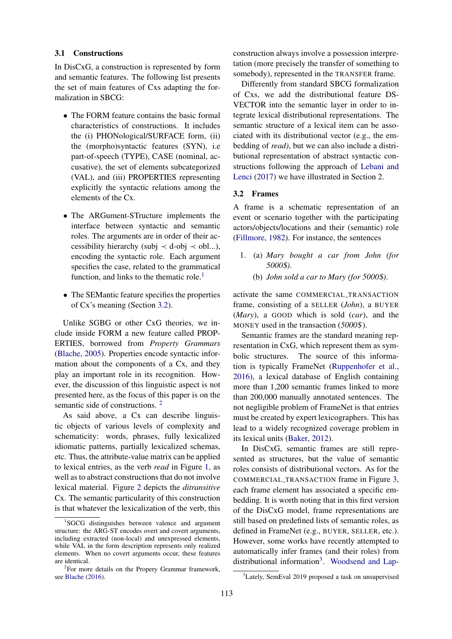#### 3.1 Constructions

In DisCxG, a construction is represented by form and semantic features. The following list presents the set of main features of Cxs adapting the formalization in SBCG:

- The FORM feature contains the basic formal characteristics of constructions. It includes the (i) PHONological/SURFACE form, (ii) the (morpho)syntactic features (SYN), i.e part-of-speech (TYPE), CASE (nominal, accusative), the set of elements subcategorized (VAL), and (iii) PROPERTIES representing explicitly the syntactic relations among the elements of the Cx.
- The ARGument-STructure implements the interface between syntactic and semantic roles. The arguments are in order of their accessibility hierarchy (subj  $\prec$  d-obj  $\prec$  obl...), encoding the syntactic role. Each argument specifies the case, related to the grammatical function, and links to the thematic role. $<sup>1</sup>$  $<sup>1</sup>$  $<sup>1</sup>$ </sup>
- The SEMantic feature specifies the properties of Cx's meaning (Section [3.2\)](#page-3-1).

Unlike SGBG or other CxG theories, we include inside FORM a new feature called PROP-ERTIES, borrowed from *Property Grammars* [\(Blache,](#page-8-15) [2005\)](#page-8-15). Properties encode syntactic information about the components of a Cx, and they play an important role in its recognition. However, the discussion of this linguistic aspect is not presented here, as the focus of this paper is on the semantic side of constructions.<sup>[2](#page-3-2)</sup>

As said above, a Cx can describe linguistic objects of various levels of complexity and schematicity: words, phrases, fully lexicalized idiomatic patterns, partially lexicalized schemas, etc. Thus, the attribute-value matrix can be applied to lexical entries, as the verb *read* in Figure [1,](#page-4-0) as well as to abstract constructions that do not involve lexical material. Figure [2](#page-4-0) depicts the *ditransitive* Cx. The semantic particularity of this construction is that whatever the lexicalization of the verb, this

construction always involve a possession interpretation (more precisely the transfer of something to somebody), represented in the TRANSFER frame.

Differently from standard SBCG formalization of Cxs, we add the distributional feature DS-VECTOR into the semantic layer in order to integrate lexical distributional representations. The semantic structure of a lexical item can be associated with its distributional vector (e.g., the embedding of *read)*, but we can also include a distributional representation of abstract syntactic constructions following the approach of [Lebani and](#page-9-10) [Lenci](#page-9-10) [\(2017\)](#page-9-10) we have illustrated in Section 2.

#### <span id="page-3-1"></span>3.2 Frames

A frame is a schematic representation of an event or scenario together with the participating actors/objects/locations and their (semantic) role [\(Fillmore,](#page-8-17) [1982\)](#page-8-17). For instance, the sentences

- 1. (a) *Mary bought a car from John (for 5000*\$*)*.
	- (b) *John sold a car to Mary (for 5000*\$*)*.

activate the same COMMERCIAL TRANSACTION frame, consisting of a SELLER (*John*), a BUYER (*Mary*), a GOOD which is sold (*car*), and the MONEY used in the transaction (*5000*\$).

Semantic frames are the standard meaning representation in CxG, which represent them as symbolic structures. The source of this information is typically FrameNet [\(Ruppenhofer et al.,](#page-10-2) [2016\)](#page-10-2), a lexical database of English containing more than 1,200 semantic frames linked to more than 200,000 manually annotated sentences. The not negligible problem of FrameNet is that entries must be created by expert lexicographers. This has lead to a widely recognized coverage problem in its lexical units [\(Baker,](#page-8-18) [2012\)](#page-8-18).

In DisCxG, semantic frames are still represented as structures, but the value of semantic roles consists of distributional vectors. As for the COMMERCIAL TRANSACTION frame in Figure [3,](#page-4-1) each frame element has associated a specific embedding. It is worth noting that in this first version of the DisCxG model, frame representations are still based on predefined lists of semantic roles, as defined in FrameNet (e.g., BUYER, SELLER, etc.). However, some works have recently attempted to automatically infer frames (and their roles) from distributional information<sup>[3](#page-3-3)</sup>. [Woodsend and Lap-](#page-10-3)

<span id="page-3-0"></span><sup>&</sup>lt;sup>1</sup>SGCG distinguishes between valence and argument structure: the ARG-ST encodes overt and covert arguments, including extracted (non-local) and unexpressed elements, while VAL in the form description represents only realized elements. When no covert arguments occur, these features are identical.

<span id="page-3-2"></span><sup>&</sup>lt;sup>2</sup>For more details on the Propery Grammar framework, see [Blache](#page-8-16) [\(2016\)](#page-8-16).

<span id="page-3-3"></span><sup>&</sup>lt;sup>3</sup>[Lately, SemEval 2019 proposed a task on unsupervised](#page-10-3)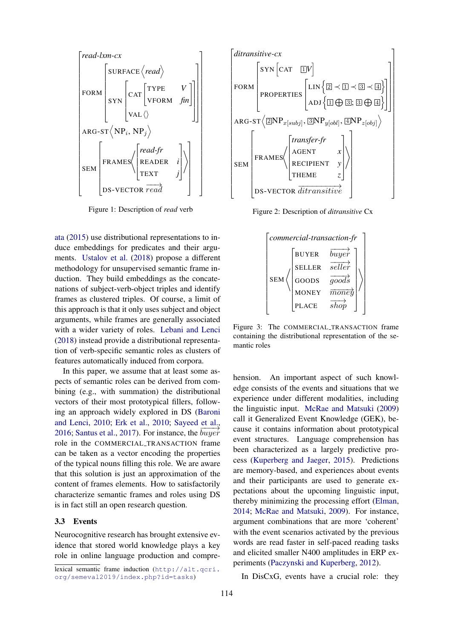<span id="page-4-0"></span>

Figure 1: Description of *read* verb

[ata](#page-10-3) [\(2015\)](#page-10-3) use distributional representations to induce embeddings for predicates and their arguments. [Ustalov et al.](#page-10-4) [\(2018\)](#page-10-4) propose a different methodology for unsupervised semantic frame induction. They build embeddings as the concatenations of subject-verb-object triples and identify frames as clustered triples. Of course, a limit of this approach is that it only uses subject and object arguments, while frames are generally associated with a wider variety of roles. [Lebani and Lenci](#page-9-15) [\(2018\)](#page-9-15) instead provide a distributional representation of verb-specific semantic roles as clusters of features automatically induced from corpora.

In this paper, we assume that at least some aspects of semantic roles can be derived from combining (e.g., with summation) the distributional vectors of their most prototypical fillers, following an approach widely explored in DS [\(Baroni](#page-8-19) [and Lenci,](#page-8-19) [2010;](#page-8-19) [Erk et al.,](#page-8-20) [2010;](#page-8-20) [Sayeed et al.,](#page-10-5) [2016;](#page-10-5) [Santus et al.,](#page-10-6) [2017\)](#page-10-6). For instance, the  $\overline{buyer}$ role in the COMMERCIAL TRANSACTION frame can be taken as a vector encoding the properties of the typical nouns filling this role. We are aware that this solution is just an approximation of the content of frames elements. How to satisfactorily characterize semantic frames and roles using DS is in fact still an open research question.

#### 3.3 Events

Neurocognitive research has brought extensive evidence that stored world knowledge plays a key role in online language production and compre-

lexical semantic frame induction ([http://alt.qcri.](http://alt.qcri.org/semeval2019/index.php?id=tasks) [org/semeval2019/index.php?id=tasks](http://alt.qcri.org/semeval2019/index.php?id=tasks))



<span id="page-4-1"></span>Figure 2: Description of *ditransitive* Cx

| commercial-transaction-fr |               |                           |
|---------------------------|---------------|---------------------------|
| <b>SEM</b>                | <b>BUYER</b>  | buyer                     |
|                           | <b>SELLER</b> | $\overrightarrow{select}$ |
|                           | GOODS         | $\overline{qoods}$        |
|                           | <b>MONEY</b>  | $\overline{moned}$        |
|                           | <b>PLACE</b>  | sh                        |

Figure 3: The COMMERCIAL TRANSACTION frame containing the distributional representation of the semantic roles

hension. An important aspect of such knowledge consists of the events and situations that we experience under different modalities, including the linguistic input. [McRae and Matsuki](#page-9-13) [\(2009\)](#page-9-13) call it Generalized Event Knowledge (GEK), because it contains information about prototypical event structures. Language comprehension has been characterized as a largely predictive process [\(Kuperberg and Jaeger,](#page-9-16) [2015\)](#page-9-16). Predictions are memory-based, and experiences about events and their participants are used to generate expectations about the upcoming linguistic input, thereby minimizing the processing effort [\(Elman,](#page-8-14) [2014;](#page-8-14) [McRae and Matsuki,](#page-9-13) [2009\)](#page-9-13). For instance, argument combinations that are more 'coherent' with the event scenarios activated by the previous words are read faster in self-paced reading tasks and elicited smaller N400 amplitudes in ERP experiments [\(Paczynski and Kuperberg,](#page-9-17) [2012\)](#page-9-17).

In DisCxG, events have a crucial role: they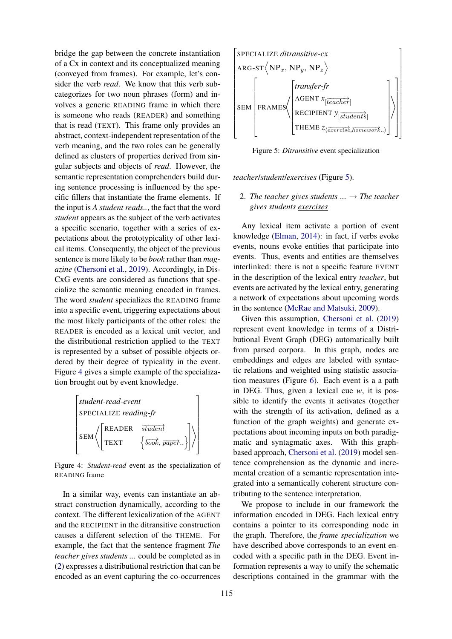bridge the gap between the concrete instantiation of a Cx in context and its conceptualized meaning (conveyed from frames). For example, let's consider the verb *read*. We know that this verb subcategorizes for two noun phrases (form) and involves a generic READING frame in which there is someone who reads (READER) and something that is read (TEXT). This frame only provides an abstract, context-independent representation of the verb meaning, and the two roles can be generally defined as clusters of properties derived from singular subjects and objects of *read*. However, the semantic representation comprehenders build during sentence processing is influenced by the specific fillers that instantiate the frame elements. If the input is *A student reads..*, the fact that the word *student* appears as the subject of the verb activates a specific scenario, together with a series of expectations about the prototypicality of other lexical items. Consequently, the object of the previous sentence is more likely to be *book* rather than *magazine* [\(Chersoni et al.,](#page-8-21) [2019\)](#page-8-21). Accordingly, in Dis-CxG events are considered as functions that specialize the semantic meaning encoded in frames. The word *student* specializes the READING frame into a specific event, triggering expectations about the most likely participants of the other roles: the READER is encoded as a lexical unit vector, and the distributional restriction applied to the TEXT is represented by a subset of possible objects ordered by their degree of typicality in the event. Figure [4](#page-5-0) gives a simple example of the specialization brought out by event knowledge.

<span id="page-5-0"></span>

| student-read-event    |                       |                                                                                                    |  |  |
|-----------------------|-----------------------|----------------------------------------------------------------------------------------------------|--|--|
| SPECIALIZE reading-fr |                       |                                                                                                    |  |  |
| SEM                   | READER<br><b>TEXT</b> | $\overrightarrow{student}$<br>$\left\{\overrightarrow{book},\overrightarrow{paper}\right\}\right $ |  |  |

Figure 4: *Student-read* event as the specialization of READING frame

In a similar way, events can instantiate an abstract construction dynamically, according to the context. The different lexicalization of the AGENT and the RECIPIENT in the ditransitive construction causes a different selection of the THEME. For example, the fact that the sentence fragment *The teacher gives students ...* could be completed as in [\(2\)](#page-5-1) expresses a distributional restriction that can be encoded as an event capturing the co-occurrences

<span id="page-5-2"></span>

Figure 5: *Ditransitive* event specialization

*teacher*/*student*/*exercises* (Figure [5\)](#page-5-2).

## <span id="page-5-1"></span>2. The teacher gives students  $\ldots \rightarrow$  The teacher *gives students exercises*

Any lexical item activate a portion of event knowledge [\(Elman,](#page-8-14) [2014\)](#page-8-14): in fact, if verbs evoke events, nouns evoke entities that participate into events. Thus, events and entities are themselves interlinked: there is not a specific feature EVENT in the description of the lexical entry *teacher*, but events are activated by the lexical entry, generating a network of expectations about upcoming words in the sentence [\(McRae and Matsuki,](#page-9-13) [2009\)](#page-9-13).

Given this assumption, [Chersoni et al.](#page-8-21) [\(2019\)](#page-8-21) represent event knowledge in terms of a Distributional Event Graph (DEG) automatically built from parsed corpora. In this graph, nodes are embeddings and edges are labeled with syntactic relations and weighted using statistic association measures (Figure [6\)](#page-7-0). Each event is a a path in DEG. Thus, given a lexical cue *w*, it is possible to identify the events it activates (together with the strength of its activation, defined as a function of the graph weights) and generate expectations about incoming inputs on both paradigmatic and syntagmatic axes. With this graphbased approach, [Chersoni et al.](#page-8-21) [\(2019\)](#page-8-21) model sentence comprehension as the dynamic and incremental creation of a semantic representation integrated into a semantically coherent structure contributing to the sentence interpretation.

We propose to include in our framework the information encoded in DEG. Each lexical entry contains a pointer to its corresponding node in the graph. Therefore, the *frame specialization* we have described above corresponds to an event encoded with a specific path in the DEG. Event information represents a way to unify the schematic descriptions contained in the grammar with the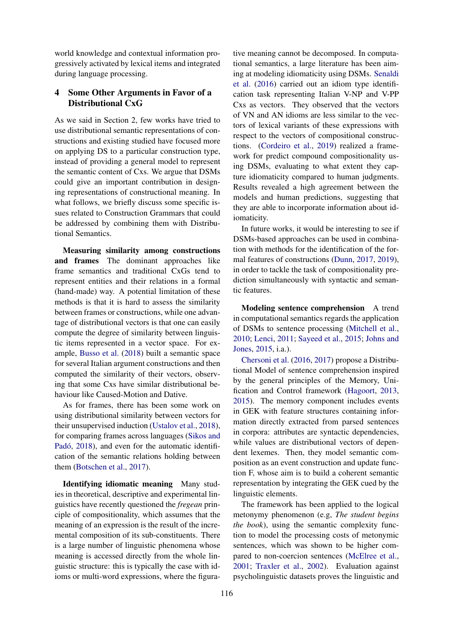world knowledge and contextual information progressively activated by lexical items and integrated during language processing.

## <span id="page-6-0"></span>4 Some Other Arguments in Favor of a Distributional CxG

As we said in Section 2, few works have tried to use distributional semantic representations of constructions and existing studied have focused more on applying DS to a particular construction type, instead of providing a general model to represent the semantic content of Cxs. We argue that DSMs could give an important contribution in designing representations of constructional meaning. In what follows, we briefly discuss some specific issues related to Construction Grammars that could be addressed by combining them with Distributional Semantics.

Measuring similarity among constructions and frames The dominant approaches like frame semantics and traditional CxGs tend to represent entities and their relations in a formal (hand-made) way. A potential limitation of these methods is that it is hard to assess the similarity between frames or constructions, while one advantage of distributional vectors is that one can easily compute the degree of similarity between linguistic items represented in a vector space. For example, [Busso et al.](#page-8-12) [\(2018\)](#page-8-12) built a semantic space for several Italian argument constructions and then computed the similarity of their vectors, observing that some Cxs have similar distributional behaviour like Caused-Motion and Dative.

As for frames, there has been some work on using distributional similarity between vectors for their unsupervised induction [\(Ustalov et al.,](#page-10-4) [2018\)](#page-10-4), for comparing frames across languages [\(Sikos and](#page-10-7) Padó, [2018\)](#page-10-7), and even for the automatic identification of the semantic relations holding between them [\(Botschen et al.,](#page-8-22) [2017\)](#page-8-22).

Identifying idiomatic meaning Many studies in theoretical, descriptive and experimental linguistics have recently questioned the *fregean* principle of compositionality, which assumes that the meaning of an expression is the result of the incremental composition of its sub-constituents. There is a large number of linguistic phenomena whose meaning is accessed directly from the whole linguistic structure: this is typically the case with idioms or multi-word expressions, where the figura-

tive meaning cannot be decomposed. In computational semantics, a large literature has been aiming at modeling idiomaticity using DSMs. [Senaldi](#page-10-8) [et al.](#page-10-8) [\(2016\)](#page-10-8) carried out an idiom type identification task representing Italian V-NP and V-PP Cxs as vectors. They observed that the vectors of VN and AN idioms are less similar to the vectors of lexical variants of these expressions with respect to the vectors of compositional constructions. [\(Cordeiro et al.,](#page-8-23) [2019\)](#page-8-23) realized a framework for predict compound compositionality using DSMs, evaluating to what extent they capture idiomaticity compared to human judgments. Results revealed a high agreement between the models and human predictions, suggesting that they are able to incorporate information about idiomaticity.

In future works, it would be interesting to see if DSMs-based approaches can be used in combination with methods for the identification of the formal features of constructions [\(Dunn,](#page-8-5) [2017,](#page-8-5) [2019\)](#page-8-6), in order to tackle the task of compositionality prediction simultaneously with syntactic and semantic features.

Modeling sentence comprehension A trend in computational semantics regards the application of DSMs to sentence processing [\(Mitchell et al.,](#page-9-18) [2010;](#page-9-18) [Lenci,](#page-9-19) [2011;](#page-9-19) [Sayeed et al.,](#page-10-9) [2015;](#page-10-9) [Johns and](#page-9-20) [Jones,](#page-9-20) [2015,](#page-9-20) i.a.).

[Chersoni et al.](#page-8-24) [\(2016,](#page-8-24) [2017\)](#page-8-25) propose a Distributional Model of sentence comprehension inspired by the general principles of the Memory, Unification and Control framework [\(Hagoort,](#page-9-21) [2013,](#page-9-21) [2015\)](#page-9-22). The memory component includes events in GEK with feature structures containing information directly extracted from parsed sentences in corpora: attributes are syntactic dependencies, while values are distributional vectors of dependent lexemes. Then, they model semantic composition as an event construction and update function F, whose aim is to build a coherent semantic representation by integrating the GEK cued by the linguistic elements.

The framework has been applied to the logical metonymy phenomenon (e.g, *The student begins the book*), using the semantic complexity function to model the processing costs of metonymic sentences, which was shown to be higher compared to non-coercion sentences [\(McElree et al.,](#page-9-23) [2001;](#page-9-23) [Traxler et al.,](#page-10-10) [2002\)](#page-10-10). Evaluation against psycholinguistic datasets proves the linguistic and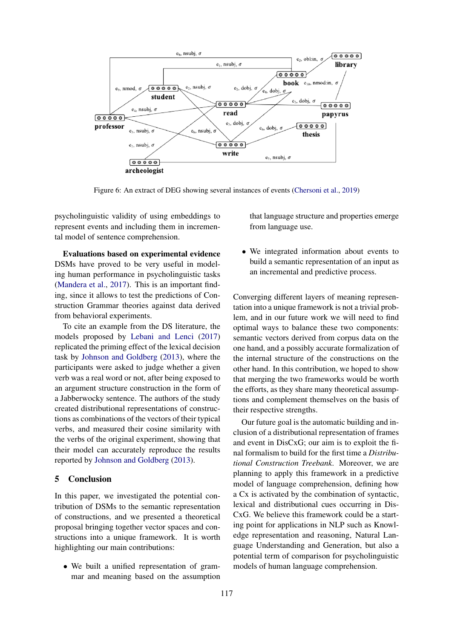<span id="page-7-0"></span>

Figure 6: An extract of DEG showing several instances of events [\(Chersoni et al.,](#page-8-21) [2019\)](#page-8-21)

psycholinguistic validity of using embeddings to represent events and including them in incremental model of sentence comprehension.

Evaluations based on experimental evidence DSMs have proved to be very useful in modeling human performance in psycholinguistic tasks [\(Mandera et al.,](#page-9-24) [2017\)](#page-9-24). This is an important finding, since it allows to test the predictions of Construction Grammar theories against data derived from behavioral experiments.

To cite an example from the DS literature, the models proposed by [Lebani and Lenci](#page-9-10) [\(2017\)](#page-9-10) replicated the priming effect of the lexical decision task by [Johnson and Goldberg](#page-9-11) [\(2013\)](#page-9-11), where the participants were asked to judge whether a given verb was a real word or not, after being exposed to an argument structure construction in the form of a Jabberwocky sentence. The authors of the study created distributional representations of constructions as combinations of the vectors of their typical verbs, and measured their cosine similarity with the verbs of the original experiment, showing that their model can accurately reproduce the results reported by [Johnson and Goldberg](#page-9-11) [\(2013\)](#page-9-11).

## 5 Conclusion

In this paper, we investigated the potential contribution of DSMs to the semantic representation of constructions, and we presented a theoretical proposal bringing together vector spaces and constructions into a unique framework. It is worth highlighting our main contributions:

• We built a unified representation of grammar and meaning based on the assumption that language structure and properties emerge from language use.

• We integrated information about events to build a semantic representation of an input as an incremental and predictive process.

Converging different layers of meaning representation into a unique framework is not a trivial problem, and in our future work we will need to find optimal ways to balance these two components: semantic vectors derived from corpus data on the one hand, and a possibly accurate formalization of the internal structure of the constructions on the other hand. In this contribution, we hoped to show that merging the two frameworks would be worth the efforts, as they share many theoretical assumptions and complement themselves on the basis of their respective strengths.

Our future goal is the automatic building and inclusion of a distributional representation of frames and event in DisCxG; our aim is to exploit the final formalism to build for the first time a *Distributional Construction Treebank*. Moreover, we are planning to apply this framework in a predictive model of language comprehension, defining how a Cx is activated by the combination of syntactic, lexical and distributional cues occurring in Dis-CxG. We believe this framework could be a starting point for applications in NLP such as Knowledge representation and reasoning, Natural Language Understanding and Generation, but also a potential term of comparison for psycholinguistic models of human language comprehension.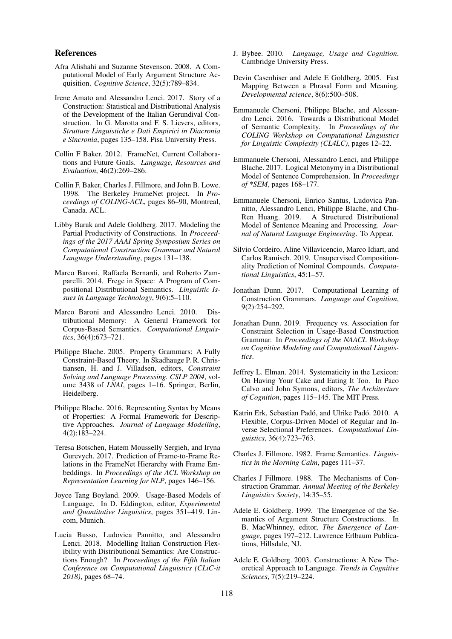#### References

- <span id="page-8-7"></span>Afra Alishahi and Suzanne Stevenson. 2008. A Computational Model of Early Argument Structure Acquisition. *Cognitive Science*, 32(5):789–834.
- <span id="page-8-8"></span>Irene Amato and Alessandro Lenci. 2017. Story of a Construction: Statistical and Distributional Analysis of the Development of the Italian Gerundival Construction. In G. Marotta and F. S. Lievers, editors, *Strutture Linguistiche e Dati Empirici in Diacronia e Sincronia*, pages 135–158. Pisa University Press.
- <span id="page-8-18"></span>Collin F Baker. 2012. FrameNet, Current Collaborations and Future Goals. *Language, Resources and Evaluation*, 46(2):269–286.
- <span id="page-8-3"></span>Collin F. Baker, Charles J. Fillmore, and John B. Lowe. 1998. The Berkeley FrameNet project. In *Proceedings of COLING-ACL*, pages 86–90, Montreal, Canada. ACL.
- <span id="page-8-11"></span>Libby Barak and Adele Goldberg. 2017. Modeling the Partial Productivity of Constructions. In *Proceeedings of the 2017 AAAI Spring Symposium Series on Computational Construction Grammar and Natural Language Understanding*, pages 131–138.
- <span id="page-8-4"></span>Marco Baroni, Raffaela Bernardi, and Roberto Zamparelli. 2014. Frege in Space: A Program of Compositional Distributional Semantics. *Linguistic Issues in Language Technology*, 9(6):5–110.
- <span id="page-8-19"></span>Marco Baroni and Alessandro Lenci. 2010. Distributional Memory: A General Framework for Corpus-Based Semantics. *Computational Linguistics*, 36(4):673–721.
- <span id="page-8-15"></span>Philippe Blache. 2005. Property Grammars: A Fully Constraint-Based Theory. In Skadhauge P. R. Christiansen, H. and J. Villadsen, editors, *Constraint Solving and Language Processing. CSLP 2004*, volume 3438 of *LNAI*, pages 1–16. Springer, Berlin, Heidelberg.
- <span id="page-8-16"></span>Philippe Blache. 2016. Representing Syntax by Means of Properties: A Formal Framework for Descriptive Approaches. *Journal of Language Modelling*, 4(2):183–224.
- <span id="page-8-22"></span>Teresa Botschen, Hatem Mousselly Sergieh, and Iryna Gurevych. 2017. Prediction of Frame-to-Frame Relations in the FrameNet Hierarchy with Frame Embeddings. In *Proceedings of the ACL Workshop on Representation Learning for NLP*, pages 146–156.
- <span id="page-8-1"></span>Joyce Tang Boyland. 2009. Usage-Based Models of Language. In D. Eddington, editor, *Experimental and Quantitative Linguistics*, pages 351–419. Lincom, Munich.
- <span id="page-8-12"></span>Lucia Busso, Ludovica Pannitto, and Alessandro Lenci. 2018. Modelling Italian Construction Flexibility with Distributional Semantics: Are Constructions Enough? In *Proceedings of the Fifth Italian Conference on Computational Linguistics (CLiC-it 2018)*, pages 68–74.
- <span id="page-8-0"></span>J. Bybee. 2010. *Language, Usage and Cognition*. Cambridge University Press.
- <span id="page-8-10"></span>Devin Casenhiser and Adele E Goldberg. 2005. Fast Mapping Between a Phrasal Form and Meaning. *Developmental science*, 8(6):500–508.
- <span id="page-8-24"></span>Emmanuele Chersoni, Philippe Blache, and Alessandro Lenci. 2016. Towards a Distributional Model of Semantic Complexity. In *Proceedings of the COLING Workshop on Computational Linguistics for Linguistic Complexity (CL4LC)*, pages 12–22.
- <span id="page-8-25"></span>Emmanuele Chersoni, Alessandro Lenci, and Philippe Blache. 2017. Logical Metonymy in a Distributional Model of Sentence Comprehension. In *Proceedings of \*SEM*, pages 168–177.
- <span id="page-8-21"></span>Emmanuele Chersoni, Enrico Santus, Ludovica Pannitto, Alessandro Lenci, Philippe Blache, and Chu-Ren Huang. 2019. A Structured Distributional Model of Sentence Meaning and Processing. *Journal of Natural Language Engineering*. To Appear.
- <span id="page-8-23"></span>Silvio Cordeiro, Aline Villavicencio, Marco Idiart, and Carlos Ramisch. 2019. Unsupervised Compositionality Prediction of Nominal Compounds. *Computational Linguistics*, 45:1–57.
- <span id="page-8-5"></span>Jonathan Dunn. 2017. Computational Learning of Construction Grammars. *Language and Cognition*, 9(2):254–292.
- <span id="page-8-6"></span>Jonathan Dunn. 2019. Frequency vs. Association for Constraint Selection in Usage-Based Construction Grammar. In *Proceedings of the NAACL Workshop on Cognitive Modeling and Computational Linguistics*.
- <span id="page-8-14"></span>Jeffrey L. Elman. 2014. Systematicity in the Lexicon: On Having Your Cake and Eating It Too. In Paco Calvo and John Symons, editors, *The Architecture of Cognition*, pages 115–145. The MIT Press.
- <span id="page-8-20"></span>Katrin Erk, Sebastian Padó, and Ulrike Padó, 2010. A Flexible, Corpus-Driven Model of Regular and Inverse Selectional Preferences. *Computational Linguistics*, 36(4):723–763.
- <span id="page-8-17"></span>Charles J. Fillmore. 1982. Frame Semantics. *Linguistics in the Morning Calm*, pages 111–37.
- <span id="page-8-2"></span>Charles J Fillmore. 1988. The Mechanisms of Construction Grammar. *Annual Meeting of the Berkeley Linguistics Society*, 14:35–55.
- <span id="page-8-9"></span>Adele E. Goldberg. 1999. The Emergence of the Semantics of Argument Structure Constructions. In B. MacWhinney, editor, *The Emergence of Language*, pages 197–212. Lawrence Erlbaum Publications, Hillsdale, NJ.
- <span id="page-8-13"></span>Adele E. Goldberg. 2003. Constructions: A New Theoretical Approach to Language. *Trends in Cognitive Sciences*, 7(5):219–224.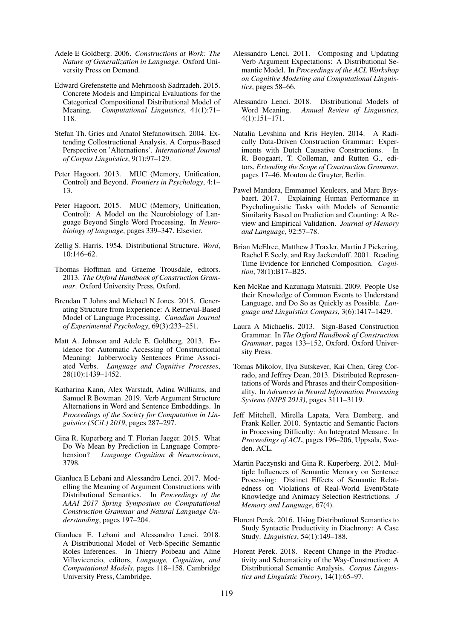- <span id="page-9-1"></span>Adele E Goldberg. 2006. *Constructions at Work: The Nature of Generalization in Language*. Oxford University Press on Demand.
- <span id="page-9-5"></span>Edward Grefenstette and Mehrnoosh Sadrzadeh. 2015. Concrete Models and Empirical Evaluations for the Categorical Compositional Distributional Model of Meaning. *Computational Linguistics*, 41(1):71– 118.
- <span id="page-9-6"></span>Stefan Th. Gries and Anatol Stefanowitsch. 2004. Extending Collostructional Analysis. A Corpus-Based Perspective on 'Alternations'. *International Journal of Corpus Linguistics*, 9(1):97–129.
- <span id="page-9-21"></span>Peter Hagoort. 2013. MUC (Memory, Unification, Control) and Beyond. *Frontiers in Psychology*, 4:1– 13.
- <span id="page-9-22"></span>Peter Hagoort. 2015. MUC (Memory, Unification, Control): A Model on the Neurobiology of Language Beyond Single Word Processing. In *Neurobiology of language*, pages 339–347. Elsevier.
- <span id="page-9-2"></span>Zellig S. Harris. 1954. Distributional Structure. *Word*, 10:146–62.
- <span id="page-9-0"></span>Thomas Hoffman and Graeme Trousdale, editors. 2013. *The Oxford Handbook of Construction Grammar*. Oxford University Press, Oxford.
- <span id="page-9-20"></span>Brendan T Johns and Michael N Jones. 2015. Generating Structure from Experience: A Retrieval-Based Model of Language Processing. *Canadian Journal of Experimental Psychology*, 69(3):233–251.
- <span id="page-9-11"></span>Matt A. Johnson and Adele E. Goldberg. 2013. Evidence for Automatic Accessing of Constructional Meaning: Jabberwocky Sentences Prime Associated Verbs. *Language and Cognitive Processes*, 28(10):1439–1452.
- <span id="page-9-12"></span>Katharina Kann, Alex Warstadt, Adina Williams, and Samuel R Bowman. 2019. Verb Argument Structure Alternations in Word and Sentence Embeddings. In *Proceedings of the Society for Computation in Linguistics (SCiL) 2019*, pages 287–297.
- <span id="page-9-16"></span>Gina R. Kuperberg and T. Florian Jaeger. 2015. What Do We Mean by Prediction in Language Comprehension? *Language Cognition & Neuroscience*, 3798.
- <span id="page-9-10"></span>Gianluca E Lebani and Alessandro Lenci. 2017. Modelling the Meaning of Argument Constructions with Distributional Semantics. In *Proceedings of the AAAI 2017 Spring Symposium on Computational Construction Grammar and Natural Language Understanding*, pages 197–204.
- <span id="page-9-15"></span>Gianluca E. Lebani and Alessandro Lenci. 2018. A Distributional Model of Verb-Specific Semantic Roles Inferences. In Thierry Poibeau and Aline Villavicencio, editors, *Language, Cognition, and Computational Models*, pages 118–158. Cambridge University Press, Cambridge.
- <span id="page-9-19"></span>Alessandro Lenci. 2011. Composing and Updating Verb Argument Expectations: A Distributional Semantic Model. In *Proceedings of the ACL Workshop on Cognitive Modeling and Computational Linguistics*, pages 58–66.
- <span id="page-9-3"></span>Alessandro Lenci. 2018. Distributional Models of Word Meaning. *Annual Review of Linguistics*, 4(1):151–171.
- <span id="page-9-7"></span>Natalia Levshina and Kris Heylen. 2014. A Radically Data-Driven Construction Grammar: Experiments with Dutch Causative Constructions. In R. Boogaart, T. Colleman, and Rutten G., editors, *Extending the Scope of Construction Grammar*, pages 17–46. Mouton de Gruyter, Berlin.
- <span id="page-9-24"></span>Paweł Mandera, Emmanuel Keuleers, and Marc Brysbaert. 2017. Explaining Human Performance in Psycholinguistic Tasks with Models of Semantic Similarity Based on Prediction and Counting: A Review and Empirical Validation. *Journal of Memory and Language*, 92:57–78.
- <span id="page-9-23"></span>Brian McElree, Matthew J Traxler, Martin J Pickering, Rachel E Seely, and Ray Jackendoff. 2001. Reading Time Evidence for Enriched Composition. *Cognition*, 78(1):B17–B25.
- <span id="page-9-13"></span>Ken McRae and Kazunaga Matsuki. 2009. People Use their Knowledge of Common Events to Understand Language, and Do So as Quickly as Possible. *Language and Linguistics Compass*, 3(6):1417–1429.
- <span id="page-9-14"></span>Laura A Michaelis. 2013. Sign-Based Construction Grammar. In *The Oxford Handbook of Construction Grammar*, pages 133–152, Oxford. Oxford University Press.
- <span id="page-9-4"></span>Tomas Mikolov, Ilya Sutskever, Kai Chen, Greg Corrado, and Jeffrey Dean. 2013. Distributed Representations of Words and Phrases and their Compositionality. In *Advances in Neural Information Processing Systems (NIPS 2013)*, pages 3111–3119.
- <span id="page-9-18"></span>Jeff Mitchell, Mirella Lapata, Vera Demberg, and Frank Keller. 2010. Syntactic and Semantic Factors in Processing Difficulty: An Integrated Measure. In *Proceedings of ACL*, pages 196–206, Uppsala, Sweden. ACL.
- <span id="page-9-17"></span>Martin Paczynski and Gina R. Kuperberg. 2012. Multiple Influences of Semantic Memory on Sentence Processing: Distinct Effects of Semantic Relatedness on Violations of Real-World Event/State Knowledge and Animacy Selection Restrictions. *J Memory and Language*, 67(4).
- <span id="page-9-8"></span>Florent Perek. 2016. Using Distributional Semantics to Study Syntactic Productivity in Diachrony: A Case Study. *Linguistics*, 54(1):149–188.
- <span id="page-9-9"></span>Florent Perek. 2018. Recent Change in the Productivity and Schematicity of the Way-Construction: A Distributional Semantic Analysis. *Corpus Linguistics and Linguistic Theory*, 14(1):65–97.